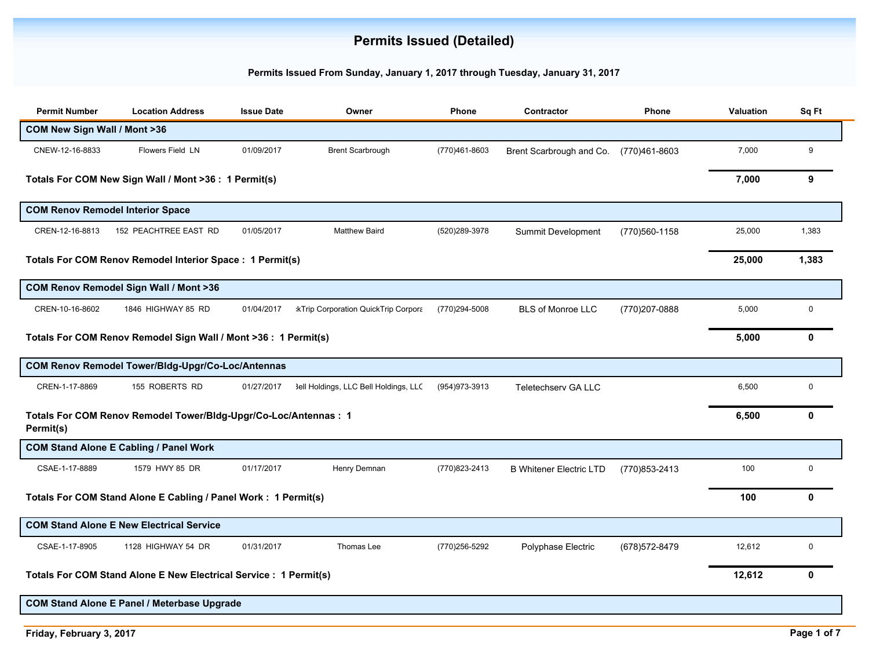## **Permits Issued (Detailed)**

## **Permits Issued From Sunday, January 1, 2017 through Tuesday, January 31, 2017**

| <b>Permit Number</b>                                                          | <b>Location Address</b>                                           | <b>Issue Date</b> | Owner                                      | Phone          | Contractor                     | Phone          | Valuation | Sq Ft       |
|-------------------------------------------------------------------------------|-------------------------------------------------------------------|-------------------|--------------------------------------------|----------------|--------------------------------|----------------|-----------|-------------|
| COM New Sign Wall / Mont >36                                                  |                                                                   |                   |                                            |                |                                |                |           |             |
| CNEW-12-16-8833                                                               | <b>Flowers Field LN</b>                                           | 01/09/2017        | <b>Brent Scarbrough</b>                    | (770)461-8603  | Brent Scarbrough and Co.       | (770)461-8603  | 7,000     | 9           |
|                                                                               | Totals For COM New Sign Wall / Mont >36 : 1 Permit(s)             |                   |                                            |                |                                |                | 7,000     | 9           |
|                                                                               | <b>COM Renov Remodel Interior Space</b>                           |                   |                                            |                |                                |                |           |             |
| CREN-12-16-8813                                                               | 152 PEACHTREE EAST RD                                             | 01/05/2017        | <b>Matthew Baird</b>                       | (520)289-3978  | Summit Development             | (770)560-1158  | 25,000    | 1,383       |
| Totals For COM Renov Remodel Interior Space : 1 Permit(s)                     |                                                                   |                   |                                            |                |                                |                |           | 1,383       |
|                                                                               | COM Renov Remodel Sign Wall / Mont >36                            |                   |                                            |                |                                |                |           |             |
| CREN-10-16-8602                                                               | 1846 HIGHWAY 85 RD                                                | 01/04/2017        | <b>kTrip Corporation QuickTrip Corpora</b> | (770)294-5008  | <b>BLS of Monroe LLC</b>       | (770)207-0888  | 5,000     | 0           |
|                                                                               | Totals For COM Renov Remodel Sign Wall / Mont >36 : 1 Permit(s)   |                   |                                            |                |                                |                | 5,000     | 0           |
|                                                                               | COM Renov Remodel Tower/Bldg-Upgr/Co-Loc/Antennas                 |                   |                                            |                |                                |                |           |             |
| CREN-1-17-8869                                                                | 155 ROBERTS RD                                                    | 01/27/2017        | 3ell Holdings, LLC Bell Holdings, LLC      | (954) 973-3913 | Teletechserv GA LLC            |                | 6,500     | $\mathbf 0$ |
| Totals For COM Renov Remodel Tower/Bldg-Upgr/Co-Loc/Antennas : 1<br>Permit(s) |                                                                   |                   |                                            |                |                                |                | 6,500     | 0           |
|                                                                               | <b>COM Stand Alone E Cabling / Panel Work</b>                     |                   |                                            |                |                                |                |           |             |
| CSAE-1-17-8889                                                                | 1579 HWY 85 DR                                                    | 01/17/2017        | Henry Demnan                               | (770)823-2413  | <b>B Whitener Electric LTD</b> | (770) 853-2413 | 100       | 0           |
|                                                                               | Totals For COM Stand Alone E Cabling / Panel Work: 1 Permit(s)    |                   |                                            |                |                                |                | 100       | 0           |
|                                                                               | <b>COM Stand Alone E New Electrical Service</b>                   |                   |                                            |                |                                |                |           |             |
| CSAE-1-17-8905                                                                | 1128 HIGHWAY 54 DR                                                | 01/31/2017        | Thomas Lee                                 | (770)256-5292  | Polyphase Electric             | (678) 572-8479 | 12.612    | $\mathbf 0$ |
|                                                                               | Totals For COM Stand Alone E New Electrical Service : 1 Permit(s) |                   |                                            |                |                                |                | 12,612    | 0           |
|                                                                               | <b>COM Stand Alone E Panel / Meterbase Upgrade</b>                |                   |                                            |                |                                |                |           |             |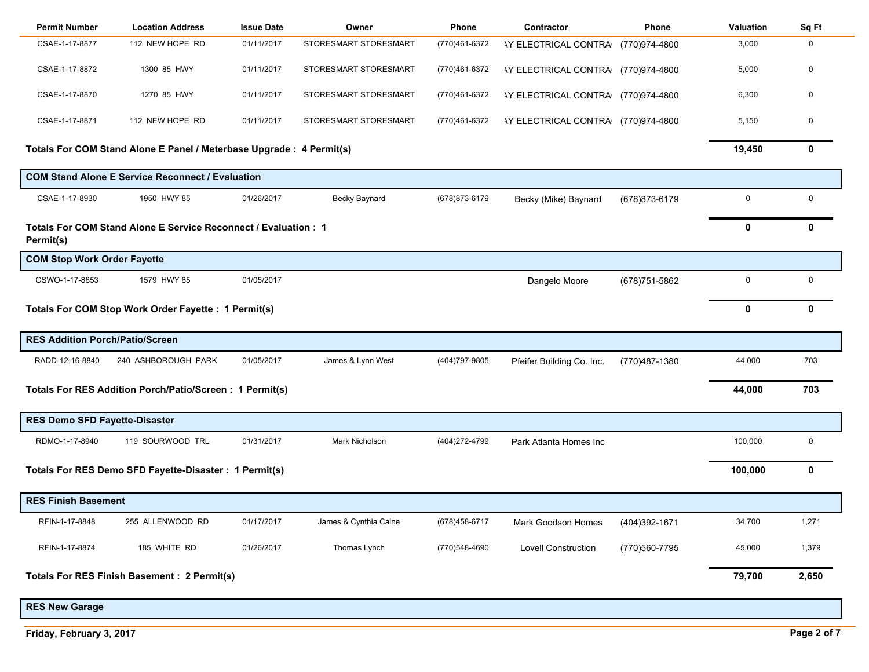| <b>Permit Number</b>                                                        | <b>Location Address</b>                                              | <b>Issue Date</b> | Owner                 | Phone          | Contractor                                | Phone          | <b>Valuation</b> | Sq Ft       |
|-----------------------------------------------------------------------------|----------------------------------------------------------------------|-------------------|-----------------------|----------------|-------------------------------------------|----------------|------------------|-------------|
| CSAE-1-17-8877                                                              | 112 NEW HOPE RD                                                      | 01/11/2017        | STORESMART STORESMART | (770)461-6372  | <b>IY ELECTRICAL CONTRA</b>               | (770)974-4800  | 3,000            | $\mathbf 0$ |
| CSAE-1-17-8872                                                              | 1300 85 HWY                                                          | 01/11/2017        | STORESMART STORESMART | (770)461-6372  | <b>AY ELECTRICAL CONTRA (770)974-4800</b> |                | 5,000            | $\mathbf 0$ |
| CSAE-1-17-8870                                                              | 1270 85 HWY                                                          | 01/11/2017        | STORESMART STORESMART | (770)461-6372  | <b>IY ELECTRICAL CONTRA (770)974-4800</b> |                | 6,300            | $\mathbf 0$ |
| CSAE-1-17-8871                                                              | 112 NEW HOPE RD                                                      | 01/11/2017        | STORESMART STORESMART | (770)461-6372  | <b>AY ELECTRICAL CONTRA (770)974-4800</b> |                | 5,150            | $\mathbf 0$ |
|                                                                             | Totals For COM Stand Alone E Panel / Meterbase Upgrade : 4 Permit(s) |                   |                       |                |                                           |                | 19,450           | 0           |
|                                                                             | <b>COM Stand Alone E Service Reconnect / Evaluation</b>              |                   |                       |                |                                           |                |                  |             |
| CSAE-1-17-8930                                                              | 1950 HWY 85                                                          | 01/26/2017        | Becky Baynard         | (678) 873-6179 | Becky (Mike) Baynard                      | (678) 873-6179 | 0                | $\mathbf 0$ |
| Totals For COM Stand Alone E Service Reconnect / Evaluation: 1<br>Permit(s) |                                                                      |                   |                       |                |                                           |                |                  | 0           |
| <b>COM Stop Work Order Fayette</b>                                          |                                                                      |                   |                       |                |                                           |                |                  |             |
| CSWO-1-17-8853                                                              | 1579 HWY 85                                                          | 01/05/2017        |                       |                | Dangelo Moore                             | (678) 751-5862 | 0                | $\mathbf 0$ |
| Totals For COM Stop Work Order Fayette : 1 Permit(s)                        |                                                                      |                   |                       |                |                                           |                |                  | 0           |
| <b>RES Addition Porch/Patio/Screen</b>                                      |                                                                      |                   |                       |                |                                           |                |                  |             |
| RADD-12-16-8840                                                             | 240 ASHBOROUGH PARK                                                  | 01/05/2017        | James & Lynn West     | (404) 797-9805 | Pfeifer Building Co. Inc.                 | (770)487-1380  | 44,000           | 703         |
|                                                                             | Totals For RES Addition Porch/Patio/Screen: 1 Permit(s)              |                   |                       |                |                                           |                | 44,000           | 703         |
| <b>RES Demo SFD Fayette-Disaster</b>                                        |                                                                      |                   |                       |                |                                           |                |                  |             |
| RDMO-1-17-8940                                                              | 119 SOURWOOD TRL                                                     | 01/31/2017        | Mark Nicholson        | (404) 272-4799 | Park Atlanta Homes Inc                    |                | 100,000          | $\mathbf 0$ |
|                                                                             | Totals For RES Demo SFD Fayette-Disaster : 1 Permit(s)               |                   |                       |                |                                           |                | 100,000          | 0           |
| <b>RES Finish Basement</b>                                                  |                                                                      |                   |                       |                |                                           |                |                  |             |
| RFIN-1-17-8848                                                              | 255 ALLENWOOD RD                                                     | 01/17/2017        | James & Cynthia Caine | (678) 458-6717 | Mark Goodson Homes                        | (404)392-1671  | 34,700           | 1,271       |
| RFIN-1-17-8874                                                              | 185 WHITE RD                                                         | 01/26/2017        | Thomas Lynch          | (770) 548-4690 | Lovell Construction                       | (770)560-7795  | 45,000           | 1,379       |
|                                                                             | <b>Totals For RES Finish Basement: 2 Permit(s)</b>                   |                   |                       |                |                                           |                | 79,700           | 2,650       |
| <b>RES New Garage</b>                                                       |                                                                      |                   |                       |                |                                           |                |                  |             |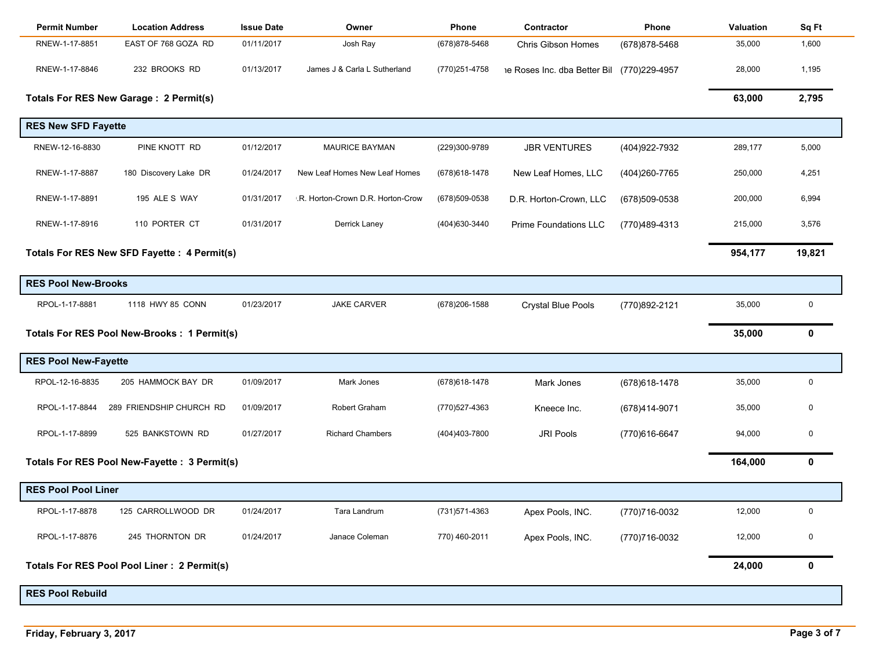| <b>Permit Number</b>                         | <b>Location Address</b>                       | <b>Issue Date</b> | Owner                             | Phone          | Contractor                                 | Phone          | Valuation | Sq Ft  |
|----------------------------------------------|-----------------------------------------------|-------------------|-----------------------------------|----------------|--------------------------------------------|----------------|-----------|--------|
| RNEW-1-17-8851                               | EAST OF 768 GOZA RD                           | 01/11/2017        | Josh Ray                          | (678) 878-5468 | <b>Chris Gibson Homes</b>                  | (678) 878-5468 | 35,000    | 1,600  |
| RNEW-1-17-8846                               | 232 BROOKS RD                                 | 01/13/2017        | James J & Carla L Sutherland      | (770) 251-4758 | he Roses Inc. dba Better Bil (770)229-4957 |                | 28,000    | 1,195  |
|                                              | Totals For RES New Garage: 2 Permit(s)        |                   |                                   |                |                                            |                | 63,000    | 2,795  |
| <b>RES New SFD Fayette</b>                   |                                               |                   |                                   |                |                                            |                |           |        |
| RNEW-12-16-8830                              | PINE KNOTT RD                                 | 01/12/2017        | <b>MAURICE BAYMAN</b>             | (229)300-9789  | <b>JBR VENTURES</b>                        | (404) 922-7932 | 289,177   | 5,000  |
| RNEW-1-17-8887                               | 180 Discovery Lake DR                         | 01/24/2017        | New Leaf Homes New Leaf Homes     | (678) 618-1478 | New Leaf Homes, LLC                        | (404)260-7765  | 250,000   | 4,251  |
| RNEW-1-17-8891                               | 195 ALE S WAY                                 | 01/31/2017        | .R. Horton-Crown D.R. Horton-Crow | (678) 509-0538 | D.R. Horton-Crown, LLC                     | (678) 509-0538 | 200,000   | 6,994  |
| RNEW-1-17-8916                               | 110 PORTER CT                                 | 01/31/2017        | Derrick Laney                     | (404) 630-3440 | Prime Foundations LLC                      | (770)489-4313  | 215,000   | 3,576  |
| Totals For RES New SFD Fayette : 4 Permit(s) |                                               |                   |                                   |                |                                            |                |           | 19,821 |
| <b>RES Pool New-Brooks</b>                   |                                               |                   |                                   |                |                                            |                |           |        |
| RPOL-1-17-8881                               | 1118 HWY 85 CONN                              | 01/23/2017        | <b>JAKE CARVER</b>                | (678) 206-1588 | <b>Crystal Blue Pools</b>                  | (770)892-2121  | 35,000    | 0      |
|                                              | Totals For RES Pool New-Brooks : 1 Permit(s)  |                   |                                   |                |                                            |                | 35,000    | 0      |
| <b>RES Pool New-Fayette</b>                  |                                               |                   |                                   |                |                                            |                |           |        |
| RPOL-12-16-8835                              | 205 HAMMOCK BAY DR                            | 01/09/2017        | Mark Jones                        | (678) 618-1478 | Mark Jones                                 | (678) 618-1478 | 35,000    | 0      |
| RPOL-1-17-8844                               | 289 FRIENDSHIP CHURCH RD                      | 01/09/2017        | Robert Graham                     | (770)527-4363  | Kneece Inc.                                | (678)414-9071  | 35,000    | 0      |
| RPOL-1-17-8899                               | 525 BANKSTOWN RD                              | 01/27/2017        | <b>Richard Chambers</b>           | (404)403-7800  | JRI Pools                                  | (770)616-6647  | 94,000    | 0      |
|                                              | Totals For RES Pool New-Fayette : 3 Permit(s) |                   |                                   |                |                                            |                | 164,000   | 0      |
| <b>RES Pool Pool Liner</b>                   |                                               |                   |                                   |                |                                            |                |           |        |
| RPOL-1-17-8878                               | 125 CARROLLWOOD DR                            | 01/24/2017        | Tara Landrum                      | (731) 571-4363 | Apex Pools, INC.                           | (770)716-0032  | 12,000    | 0      |
| RPOL-1-17-8876                               | 245 THORNTON DR                               | 01/24/2017        | Janace Coleman                    | 770) 460-2011  | Apex Pools, INC.                           | (770)716-0032  | 12,000    | 0      |
|                                              | Totals For RES Pool Pool Liner: 2 Permit(s)   |                   |                                   |                |                                            |                | 24,000    | 0      |
| <b>RES Pool Rebuild</b>                      |                                               |                   |                                   |                |                                            |                |           |        |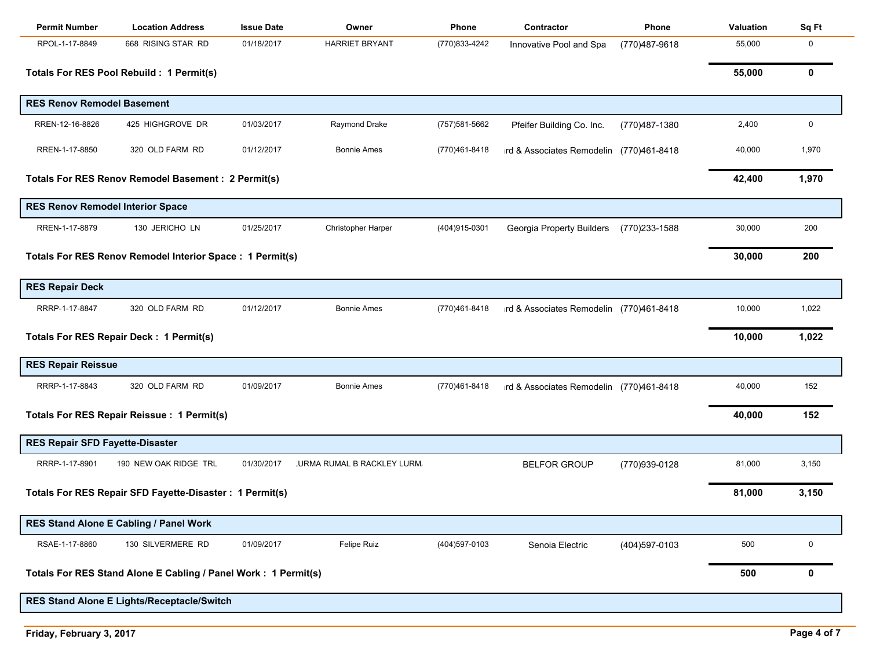| <b>Permit Number</b>                                     | <b>Location Address</b>                                        | <b>Issue Date</b> | Owner                             | Phone          | Contractor                               | Phone         | Valuation | Sq Ft |
|----------------------------------------------------------|----------------------------------------------------------------|-------------------|-----------------------------------|----------------|------------------------------------------|---------------|-----------|-------|
| RPOL-1-17-8849                                           | 668 RISING STAR RD                                             | 01/18/2017        | <b>HARRIET BRYANT</b>             | (770)833-4242  | Innovative Pool and Spa                  | (770)487-9618 | 55,000    | 0     |
|                                                          | Totals For RES Pool Rebuild : 1 Permit(s)                      |                   |                                   |                |                                          |               | 55,000    | 0     |
| <b>RES Renov Remodel Basement</b>                        |                                                                |                   |                                   |                |                                          |               |           |       |
| RREN-12-16-8826                                          | 425 HIGHGROVE DR                                               | 01/03/2017        | Raymond Drake                     | (757) 581-5662 | Pfeifer Building Co. Inc.                | (770)487-1380 | 2,400     | 0     |
| RREN-1-17-8850                                           | 320 OLD FARM RD                                                | 01/12/2017        | <b>Bonnie Ames</b>                | (770)461-8418  | ird & Associates Remodelin (770)461-8418 |               | 40,000    | 1,970 |
|                                                          | <b>Totals For RES Renov Remodel Basement : 2 Permit(s)</b>     |                   |                                   |                |                                          |               | 42,400    | 1,970 |
| <b>RES Renov Remodel Interior Space</b>                  |                                                                |                   |                                   |                |                                          |               |           |       |
| RREN-1-17-8879                                           | 130 JERICHO LN                                                 | 01/25/2017        | Christopher Harper                | (404) 915-0301 | Georgia Property Builders                | (770)233-1588 | 30,000    | 200   |
| Totals For RES Renov Remodel Interior Space: 1 Permit(s) |                                                                |                   |                                   |                |                                          |               |           | 200   |
| <b>RES Repair Deck</b>                                   |                                                                |                   |                                   |                |                                          |               |           |       |
| RRRP-1-17-8847                                           | 320 OLD FARM RD                                                | 01/12/2017        | <b>Bonnie Ames</b>                | (770)461-8418  | ird & Associates Remodelin (770)461-8418 |               | 10,000    | 1,022 |
|                                                          | Totals For RES Repair Deck : 1 Permit(s)                       |                   |                                   |                |                                          |               | 10,000    | 1,022 |
| <b>RES Repair Reissue</b>                                |                                                                |                   |                                   |                |                                          |               |           |       |
| RRRP-1-17-8843                                           | 320 OLD FARM RD                                                | 01/09/2017        | <b>Bonnie Ames</b>                | (770)461-8418  | ird & Associates Remodelin (770)461-8418 |               | 40,000    | 152   |
|                                                          | Totals For RES Repair Reissue : 1 Permit(s)                    |                   |                                   |                |                                          |               | 40,000    | 152   |
| <b>RES Repair SFD Fayette-Disaster</b>                   |                                                                |                   |                                   |                |                                          |               |           |       |
| RRRP-1-17-8901                                           | 190 NEW OAK RIDGE TRL                                          | 01/30/2017        | <b>URMA RUMAL B RACKLEY LURM.</b> |                | <b>BELFOR GROUP</b>                      | (770)939-0128 | 81,000    | 3,150 |
|                                                          | Totals For RES Repair SFD Fayette-Disaster : 1 Permit(s)       |                   |                                   |                |                                          |               | 81,000    | 3,150 |
|                                                          | RES Stand Alone E Cabling / Panel Work                         |                   |                                   |                |                                          |               |           |       |
| RSAE-1-17-8860                                           | 130 SILVERMERE RD                                              | 01/09/2017        | Felipe Ruiz                       | (404) 597-0103 | Senoia Electric                          | (404)597-0103 | 500       | 0     |
|                                                          | Totals For RES Stand Alone E Cabling / Panel Work: 1 Permit(s) |                   |                                   |                |                                          |               | 500       | 0     |
|                                                          | RES Stand Alone E Lights/Receptacle/Switch                     |                   |                                   |                |                                          |               |           |       |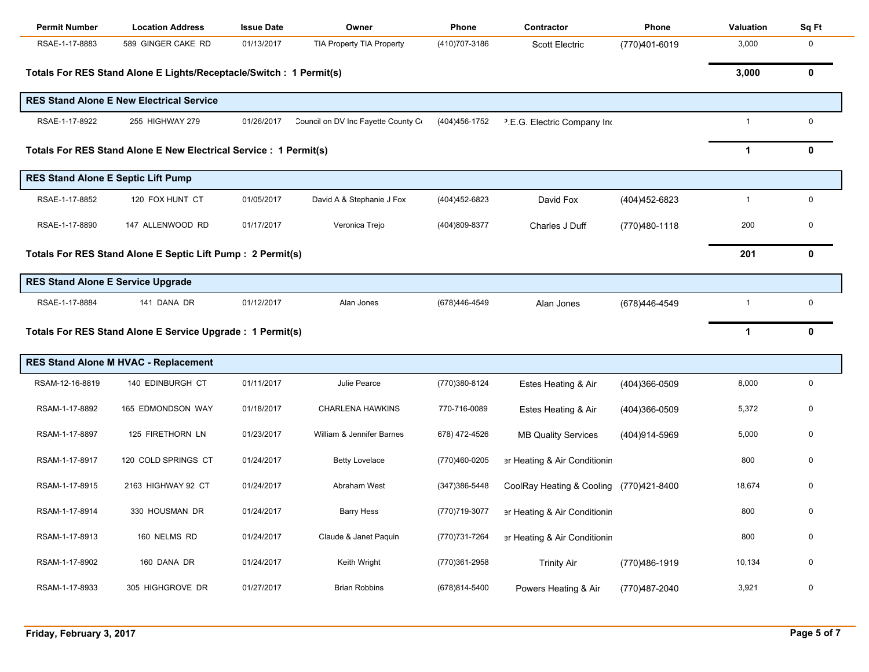| <b>Permit Number</b>                                              | <b>Location Address</b>                                             | <b>Issue Date</b> | Owner                               | Phone          | Contractor                              | Phone          | <b>Valuation</b> | Sq Ft        |
|-------------------------------------------------------------------|---------------------------------------------------------------------|-------------------|-------------------------------------|----------------|-----------------------------------------|----------------|------------------|--------------|
| RSAE-1-17-8883                                                    | 589 GINGER CAKE RD                                                  | 01/13/2017        | TIA Property TIA Property           | (410) 707-3186 | <b>Scott Electric</b>                   | (770)401-6019  | 3,000            | 0            |
|                                                                   | Totals For RES Stand Alone E Lights/Receptacle/Switch : 1 Permit(s) |                   |                                     |                |                                         |                | 3,000            | 0            |
|                                                                   | <b>RES Stand Alone E New Electrical Service</b>                     |                   |                                     |                |                                         |                |                  |              |
| RSAE-1-17-8922                                                    | 255 HIGHWAY 279                                                     | 01/26/2017        | Council on DV Inc Fayette County Co | (404)456-1752  | <sup>2</sup> .E.G. Electric Company Ind |                | $\mathbf{1}$     | $\mathbf 0$  |
| Totals For RES Stand Alone E New Electrical Service : 1 Permit(s) | $\mathbf 1$                                                         | 0                 |                                     |                |                                         |                |                  |              |
| <b>RES Stand Alone E Septic Lift Pump</b>                         |                                                                     |                   |                                     |                |                                         |                |                  |              |
| RSAE-1-17-8852                                                    | 120 FOX HUNT CT                                                     | 01/05/2017        | David A & Stephanie J Fox           | (404) 452-6823 | David Fox                               | (404) 452-6823 | $\mathbf{1}$     | $\mathbf 0$  |
| RSAE-1-17-8890                                                    | 147 ALLENWOOD RD                                                    | 01/17/2017        | Veronica Trejo                      | (404)809-8377  | Charles J Duff                          | (770)480-1118  | 200              | 0            |
|                                                                   | Totals For RES Stand Alone E Septic Lift Pump : 2 Permit(s)         |                   |                                     |                |                                         |                | 201              | $\mathbf{0}$ |
| <b>RES Stand Alone E Service Upgrade</b>                          |                                                                     |                   |                                     |                |                                         |                |                  |              |
| RSAE-1-17-8884                                                    | 141 DANA DR                                                         | 01/12/2017        | Alan Jones                          | (678)446-4549  | Alan Jones                              | (678)446-4549  | $\mathbf{1}$     | 0            |
|                                                                   | Totals For RES Stand Alone E Service Upgrade : 1 Permit(s)          |                   |                                     |                |                                         |                | $\mathbf 1$      | 0            |
|                                                                   | <b>RES Stand Alone M HVAC - Replacement</b>                         |                   |                                     |                |                                         |                |                  |              |
| RSAM-12-16-8819                                                   | 140 EDINBURGH CT                                                    | 01/11/2017        | Julie Pearce                        | (770)380-8124  | Estes Heating & Air                     | (404)366-0509  | 8,000            | 0            |
| RSAM-1-17-8892                                                    | 165 EDMONDSON WAY                                                   | 01/18/2017        | <b>CHARLENA HAWKINS</b>             | 770-716-0089   | Estes Heating & Air                     | (404)366-0509  | 5,372            | 0            |
| RSAM-1-17-8897                                                    | 125 FIRETHORN LN                                                    | 01/23/2017        | William & Jennifer Barnes           | 678) 472-4526  | <b>MB Quality Services</b>              | (404)914-5969  | 5,000            | 0            |
| RSAM-1-17-8917                                                    | 120 COLD SPRINGS CT                                                 | 01/24/2017        | <b>Betty Lovelace</b>               | (770)460-0205  | er Heating & Air Conditionin            |                | 800              | 0            |
| RSAM-1-17-8915                                                    | 2163 HIGHWAY 92 CT                                                  | 01/24/2017        | Abraham West                        | (347) 386-5448 | CoolRay Heating & Cooling (770)421-8400 |                | 18,674           | $\Omega$     |
| RSAM-1-17-8914                                                    | 330 HOUSMAN DR                                                      | 01/24/2017        | <b>Barry Hess</b>                   | (770)719-3077  | er Heating & Air Conditionin            |                | 800              |              |
| RSAM-1-17-8913                                                    | 160 NELMS RD                                                        | 01/24/2017        | Claude & Janet Paquin               | (770) 731-7264 | er Heating & Air Conditionin            |                | 800              | 0            |
| RSAM-1-17-8902                                                    | 160 DANA DR                                                         | 01/24/2017        | Keith Wright                        | (770)361-2958  | <b>Trinity Air</b>                      | (770)486-1919  | 10,134           | 0            |
| RSAM-1-17-8933                                                    | 305 HIGHGROVE DR                                                    | 01/27/2017        | <b>Brian Robbins</b>                | (678)814-5400  | Powers Heating & Air                    | (770)487-2040  | 3,921            | 0            |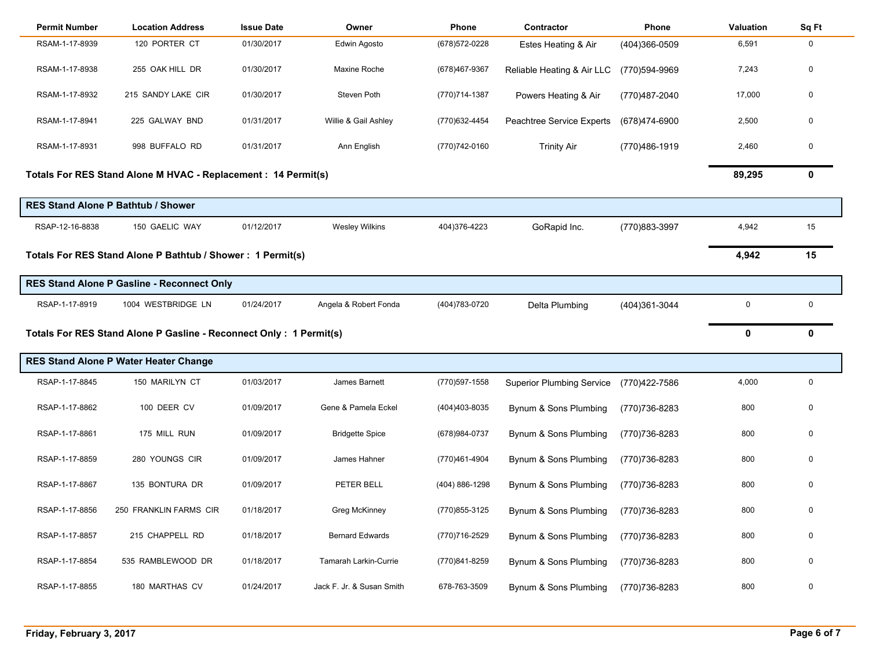| <b>Permit Number</b>                                                | <b>Location Address</b>                      | <b>Issue Date</b> | Owner                     | Phone          | Contractor                       | Phone          | Valuation   | Sq Ft        |
|---------------------------------------------------------------------|----------------------------------------------|-------------------|---------------------------|----------------|----------------------------------|----------------|-------------|--------------|
| RSAM-1-17-8939                                                      | 120 PORTER CT                                | 01/30/2017        | Edwin Agosto              | (678) 572-0228 | Estes Heating & Air              | (404)366-0509  | 6,591       | 0            |
| RSAM-1-17-8938                                                      | 255 OAK HILL DR                              | 01/30/2017        | Maxine Roche              | (678)467-9367  | Reliable Heating & Air LLC       | (770)594-9969  | 7,243       | 0            |
| RSAM-1-17-8932                                                      | 215 SANDY LAKE CIR                           | 01/30/2017        | Steven Poth               | (770)714-1387  | Powers Heating & Air             | (770)487-2040  | 17,000      | 0            |
| RSAM-1-17-8941                                                      | 225 GALWAY BND                               | 01/31/2017        | Willie & Gail Ashley      | (770) 632-4454 | Peachtree Service Experts        | (678)474-6900  | 2,500       | $\mathbf 0$  |
| RSAM-1-17-8931                                                      | 998 BUFFALO RD                               | 01/31/2017        | Ann English               | (770) 742-0160 | <b>Trinity Air</b>               | (770)486-1919  | 2,460       | 0            |
| Totals For RES Stand Alone M HVAC - Replacement : 14 Permit(s)      | 89,295                                       | $\mathbf{0}$      |                           |                |                                  |                |             |              |
|                                                                     | <b>RES Stand Alone P Bathtub / Shower</b>    |                   |                           |                |                                  |                |             |              |
| RSAP-12-16-8838                                                     | 150 GAELIC WAY                               | 01/12/2017        | <b>Wesley Wilkins</b>     | 404)376-4223   | GoRapid Inc.                     | (770)883-3997  | 4,942       | 15           |
| Totals For RES Stand Alone P Bathtub / Shower: 1 Permit(s)          |                                              |                   |                           |                |                                  |                |             | 15           |
|                                                                     | RES Stand Alone P Gasline - Reconnect Only   |                   |                           |                |                                  |                |             |              |
| RSAP-1-17-8919                                                      | 1004 WESTBRIDGE LN                           | 01/24/2017        | Angela & Robert Fonda     | (404) 783-0720 | Delta Plumbing                   | (404)361-3044  | $\mathbf 0$ | 0            |
| Totals For RES Stand Alone P Gasline - Reconnect Only : 1 Permit(s) |                                              |                   |                           |                |                                  |                |             | $\mathbf{0}$ |
|                                                                     | <b>RES Stand Alone P Water Heater Change</b> |                   |                           |                |                                  |                |             |              |
| RSAP-1-17-8845                                                      | 150 MARILYN CT                               | 01/03/2017        | James Barnett             | (770) 597-1558 | <b>Superior Plumbing Service</b> | (770)422-7586  | 4,000       | 0            |
| RSAP-1-17-8862                                                      | 100 DEER CV                                  | 01/09/2017        | Gene & Pamela Eckel       | (404) 403-8035 | Bynum & Sons Plumbing            | (770) 736-8283 | 800         | 0            |
| RSAP-1-17-8861                                                      | 175 MILL RUN                                 | 01/09/2017        | <b>Bridgette Spice</b>    | (678) 984-0737 | Bynum & Sons Plumbing            | (770)736-8283  | 800         | 0            |
| RSAP-1-17-8859                                                      | 280 YOUNGS CIR                               | 01/09/2017        | James Hahner              | (770)461-4904  | Bynum & Sons Plumbing            | (770)736-8283  | 800         | 0            |
| RSAP-1-17-8867                                                      | 135 BONTURA DR                               | 01/09/2017        | PETER BELL                | (404) 886-1298 | Bynum & Sons Plumbing            | (770)736-8283  | 800         | 0            |
| RSAP-1-17-8856                                                      | 250 FRANKLIN FARMS CIR                       | 01/18/2017        | Greg McKinney             | (770) 855-3125 | Bynum & Sons Plumbing            | (770)736-8283  | 800         | 0            |
| RSAP-1-17-8857                                                      | 215 CHAPPELL RD                              | 01/18/2017        | <b>Bernard Edwards</b>    | (770)716-2529  | Bynum & Sons Plumbing            | (770)736-8283  | 800         | 0            |
| RSAP-1-17-8854                                                      | 535 RAMBLEWOOD DR                            | 01/18/2017        | Tamarah Larkin-Currie     | (770)841-8259  | Bynum & Sons Plumbing            | (770)736-8283  | 800         | 0            |
| RSAP-1-17-8855                                                      | 180 MARTHAS CV                               | 01/24/2017        | Jack F. Jr. & Susan Smith | 678-763-3509   | Bynum & Sons Plumbing            | (770)736-8283  | 800         | 0            |